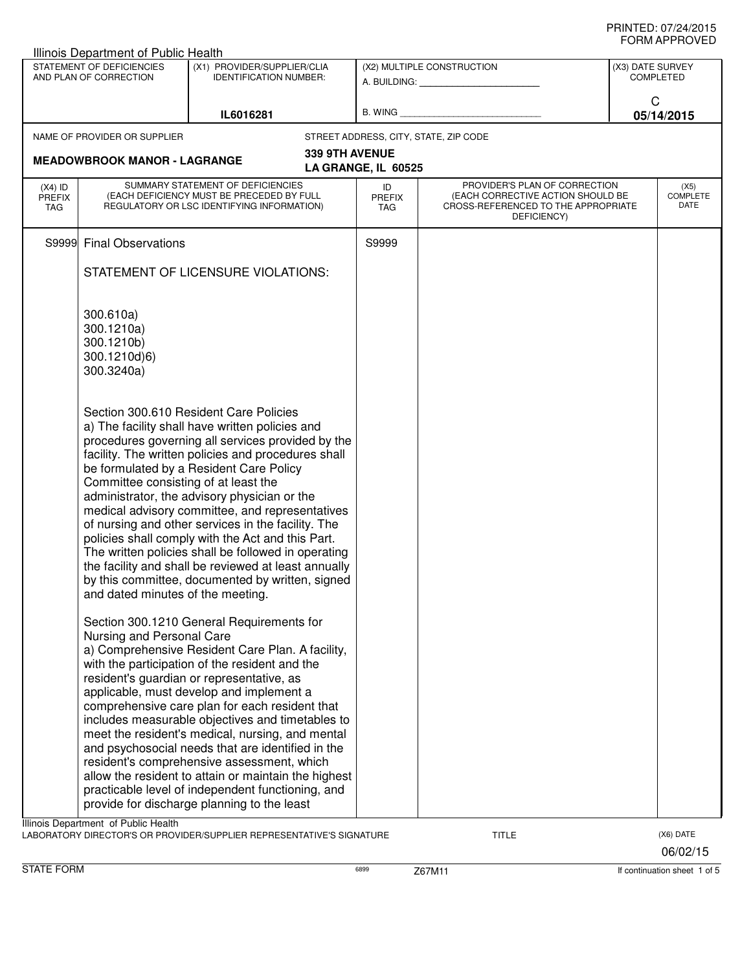| Illinois Department of Public Health                                                                                |                                                                                                                                                                                                                                                                                                                                                                                                                                                                                                                                                                                                                                                                                                                |                                   |                                                         |                                      |                                                                                                                          |   |                                 |
|---------------------------------------------------------------------------------------------------------------------|----------------------------------------------------------------------------------------------------------------------------------------------------------------------------------------------------------------------------------------------------------------------------------------------------------------------------------------------------------------------------------------------------------------------------------------------------------------------------------------------------------------------------------------------------------------------------------------------------------------------------------------------------------------------------------------------------------------|-----------------------------------|---------------------------------------------------------|--------------------------------------|--------------------------------------------------------------------------------------------------------------------------|---|---------------------------------|
| STATEMENT OF DEFICIENCIES<br>(X1) PROVIDER/SUPPLIER/CLIA<br>AND PLAN OF CORRECTION<br><b>IDENTIFICATION NUMBER:</b> |                                                                                                                                                                                                                                                                                                                                                                                                                                                                                                                                                                                                                                                                                                                |                                   | (X2) MULTIPLE CONSTRUCTION<br>A. BUILDING: A. BUILDING: | (X3) DATE SURVEY<br><b>COMPLETED</b> |                                                                                                                          |   |                                 |
|                                                                                                                     |                                                                                                                                                                                                                                                                                                                                                                                                                                                                                                                                                                                                                                                                                                                | IL6016281                         |                                                         |                                      | B. WING <b>Example 2008</b>                                                                                              | C | 05/14/2015                      |
|                                                                                                                     | NAME OF PROVIDER OR SUPPLIER                                                                                                                                                                                                                                                                                                                                                                                                                                                                                                                                                                                                                                                                                   |                                   |                                                         |                                      | STREET ADDRESS, CITY, STATE, ZIP CODE                                                                                    |   |                                 |
|                                                                                                                     | <b>MEADOWBROOK MANOR - LAGRANGE</b>                                                                                                                                                                                                                                                                                                                                                                                                                                                                                                                                                                                                                                                                            |                                   | 339 9TH AVENUE                                          | LA GRANGE, IL 60525                  |                                                                                                                          |   |                                 |
| $(X4)$ ID<br><b>PREFIX</b><br>TAG                                                                                   | (EACH DEFICIENCY MUST BE PRECEDED BY FULL<br>REGULATORY OR LSC IDENTIFYING INFORMATION)                                                                                                                                                                                                                                                                                                                                                                                                                                                                                                                                                                                                                        | SUMMARY STATEMENT OF DEFICIENCIES |                                                         | ID<br><b>PREFIX</b><br>TAG           | PROVIDER'S PLAN OF CORRECTION<br>(EACH CORRECTIVE ACTION SHOULD BE<br>CROSS-REFERENCED TO THE APPROPRIATE<br>DEFICIENCY) |   | (X5)<br><b>COMPLETE</b><br>DATE |
| S9999                                                                                                               | <b>Final Observations</b>                                                                                                                                                                                                                                                                                                                                                                                                                                                                                                                                                                                                                                                                                      |                                   |                                                         | S9999                                |                                                                                                                          |   |                                 |
|                                                                                                                     | STATEMENT OF LICENSURE VIOLATIONS:                                                                                                                                                                                                                                                                                                                                                                                                                                                                                                                                                                                                                                                                             |                                   |                                                         |                                      |                                                                                                                          |   |                                 |
|                                                                                                                     | 300.610a)<br>300.1210a)<br>300.1210b)<br>300.1210d)6)<br>300.3240a)                                                                                                                                                                                                                                                                                                                                                                                                                                                                                                                                                                                                                                            |                                   |                                                         |                                      |                                                                                                                          |   |                                 |
|                                                                                                                     | Section 300.610 Resident Care Policies<br>a) The facility shall have written policies and<br>procedures governing all services provided by the<br>facility. The written policies and procedures shall<br>be formulated by a Resident Care Policy<br>Committee consisting of at least the<br>administrator, the advisory physician or the<br>medical advisory committee, and representatives<br>of nursing and other services in the facility. The<br>policies shall comply with the Act and this Part.<br>The written policies shall be followed in operating<br>the facility and shall be reviewed at least annually<br>by this committee, documented by written, signed<br>and dated minutes of the meeting. |                                   |                                                         |                                      |                                                                                                                          |   |                                 |
|                                                                                                                     | Section 300.1210 General Requirements for<br>Nursing and Personal Care<br>a) Comprehensive Resident Care Plan. A facility,<br>with the participation of the resident and the<br>resident's guardian or representative, as<br>applicable, must develop and implement a<br>comprehensive care plan for each resident that<br>includes measurable objectives and timetables to<br>meet the resident's medical, nursing, and mental<br>and psychosocial needs that are identified in the<br>resident's comprehensive assessment, which<br>allow the resident to attain or maintain the highest<br>practicable level of independent functioning, and<br>provide for discharge planning to the least                 |                                   |                                                         |                                      |                                                                                                                          |   |                                 |
|                                                                                                                     | Illinois Department of Public Health                                                                                                                                                                                                                                                                                                                                                                                                                                                                                                                                                                                                                                                                           |                                   |                                                         |                                      |                                                                                                                          |   |                                 |
|                                                                                                                     | LABORATORY DIRECTOR'S OR PROVIDER/SUPPLIER REPRESENTATIVE'S SIGNATURE                                                                                                                                                                                                                                                                                                                                                                                                                                                                                                                                                                                                                                          |                                   |                                                         |                                      | <b>TITLE</b>                                                                                                             |   | (X6) DATE                       |

06/02/15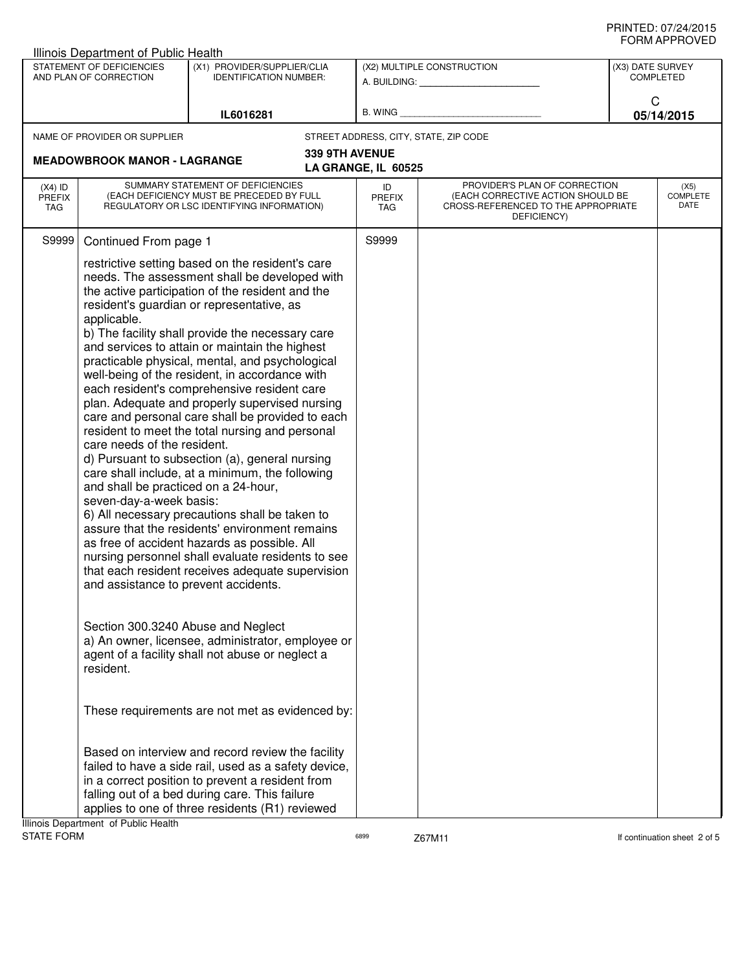|                                                                                                                                  | Illinois Department of Public Health                                                                                                                                                                                                                                                                                                                                                                                                                                                                                                                                                                                                                                                                                                                                                                                                                                                                                                                                                                                                                                                                                                                                                                                                                                                                                                  |                                                                                                                                                                                                                                                                    |                |                            |                                                                                                                          |  |                          |
|----------------------------------------------------------------------------------------------------------------------------------|---------------------------------------------------------------------------------------------------------------------------------------------------------------------------------------------------------------------------------------------------------------------------------------------------------------------------------------------------------------------------------------------------------------------------------------------------------------------------------------------------------------------------------------------------------------------------------------------------------------------------------------------------------------------------------------------------------------------------------------------------------------------------------------------------------------------------------------------------------------------------------------------------------------------------------------------------------------------------------------------------------------------------------------------------------------------------------------------------------------------------------------------------------------------------------------------------------------------------------------------------------------------------------------------------------------------------------------|--------------------------------------------------------------------------------------------------------------------------------------------------------------------------------------------------------------------------------------------------------------------|----------------|----------------------------|--------------------------------------------------------------------------------------------------------------------------|--|--------------------------|
| STATEMENT OF DEFICIENCIES<br>(X1) PROVIDER/SUPPLIER/CLIA<br>AND PLAN OF CORRECTION<br><b>IDENTIFICATION NUMBER:</b><br>IL6016281 |                                                                                                                                                                                                                                                                                                                                                                                                                                                                                                                                                                                                                                                                                                                                                                                                                                                                                                                                                                                                                                                                                                                                                                                                                                                                                                                                       | (X2) MULTIPLE CONSTRUCTION<br>A. BUILDING: A. BUILDING:<br>B. WING                                                                                                                                                                                                 |                |                            | (X3) DATE SURVEY<br><b>COMPLETED</b><br>C<br>05/14/2015                                                                  |  |                          |
|                                                                                                                                  |                                                                                                                                                                                                                                                                                                                                                                                                                                                                                                                                                                                                                                                                                                                                                                                                                                                                                                                                                                                                                                                                                                                                                                                                                                                                                                                                       |                                                                                                                                                                                                                                                                    |                |                            |                                                                                                                          |  |                          |
|                                                                                                                                  | <b>MEADOWBROOK MANOR - LAGRANGE</b>                                                                                                                                                                                                                                                                                                                                                                                                                                                                                                                                                                                                                                                                                                                                                                                                                                                                                                                                                                                                                                                                                                                                                                                                                                                                                                   |                                                                                                                                                                                                                                                                    | 339 9TH AVENUE | LA GRANGE, IL 60525        |                                                                                                                          |  |                          |
| $(X4)$ ID<br><b>PREFIX</b><br>TAG                                                                                                |                                                                                                                                                                                                                                                                                                                                                                                                                                                                                                                                                                                                                                                                                                                                                                                                                                                                                                                                                                                                                                                                                                                                                                                                                                                                                                                                       | SUMMARY STATEMENT OF DEFICIENCIES<br>(EACH DEFICIENCY MUST BE PRECEDED BY FULL<br>REGULATORY OR LSC IDENTIFYING INFORMATION)                                                                                                                                       |                | ID<br><b>PREFIX</b><br>TAG | PROVIDER'S PLAN OF CORRECTION<br>(EACH CORRECTIVE ACTION SHOULD BE<br>CROSS-REFERENCED TO THE APPROPRIATE<br>DEFICIENCY) |  | (X5)<br>COMPLETE<br>DATE |
| S9999                                                                                                                            |                                                                                                                                                                                                                                                                                                                                                                                                                                                                                                                                                                                                                                                                                                                                                                                                                                                                                                                                                                                                                                                                                                                                                                                                                                                                                                                                       |                                                                                                                                                                                                                                                                    |                | S9999                      |                                                                                                                          |  |                          |
|                                                                                                                                  | Continued From page 1<br>restrictive setting based on the resident's care<br>needs. The assessment shall be developed with<br>the active participation of the resident and the<br>resident's guardian or representative, as<br>applicable.<br>b) The facility shall provide the necessary care<br>and services to attain or maintain the highest<br>practicable physical, mental, and psychological<br>well-being of the resident, in accordance with<br>each resident's comprehensive resident care<br>plan. Adequate and properly supervised nursing<br>care and personal care shall be provided to each<br>resident to meet the total nursing and personal<br>care needs of the resident.<br>d) Pursuant to subsection (a), general nursing<br>care shall include, at a minimum, the following<br>and shall be practiced on a 24-hour,<br>seven-day-a-week basis:<br>6) All necessary precautions shall be taken to<br>assure that the residents' environment remains<br>as free of accident hazards as possible. All<br>nursing personnel shall evaluate residents to see<br>that each resident receives adequate supervision<br>and assistance to prevent accidents.<br>Section 300.3240 Abuse and Neglect<br>a) An owner, licensee, administrator, employee or<br>agent of a facility shall not abuse or neglect a<br>resident. |                                                                                                                                                                                                                                                                    |                |                            |                                                                                                                          |  |                          |
|                                                                                                                                  |                                                                                                                                                                                                                                                                                                                                                                                                                                                                                                                                                                                                                                                                                                                                                                                                                                                                                                                                                                                                                                                                                                                                                                                                                                                                                                                                       |                                                                                                                                                                                                                                                                    |                |                            |                                                                                                                          |  |                          |
|                                                                                                                                  |                                                                                                                                                                                                                                                                                                                                                                                                                                                                                                                                                                                                                                                                                                                                                                                                                                                                                                                                                                                                                                                                                                                                                                                                                                                                                                                                       | These requirements are not met as evidenced by:                                                                                                                                                                                                                    |                |                            |                                                                                                                          |  |                          |
|                                                                                                                                  | Illinois Department of Public Health                                                                                                                                                                                                                                                                                                                                                                                                                                                                                                                                                                                                                                                                                                                                                                                                                                                                                                                                                                                                                                                                                                                                                                                                                                                                                                  | Based on interview and record review the facility<br>failed to have a side rail, used as a safety device,<br>in a correct position to prevent a resident from<br>falling out of a bed during care. This failure<br>applies to one of three residents (R1) reviewed |                |                            |                                                                                                                          |  |                          |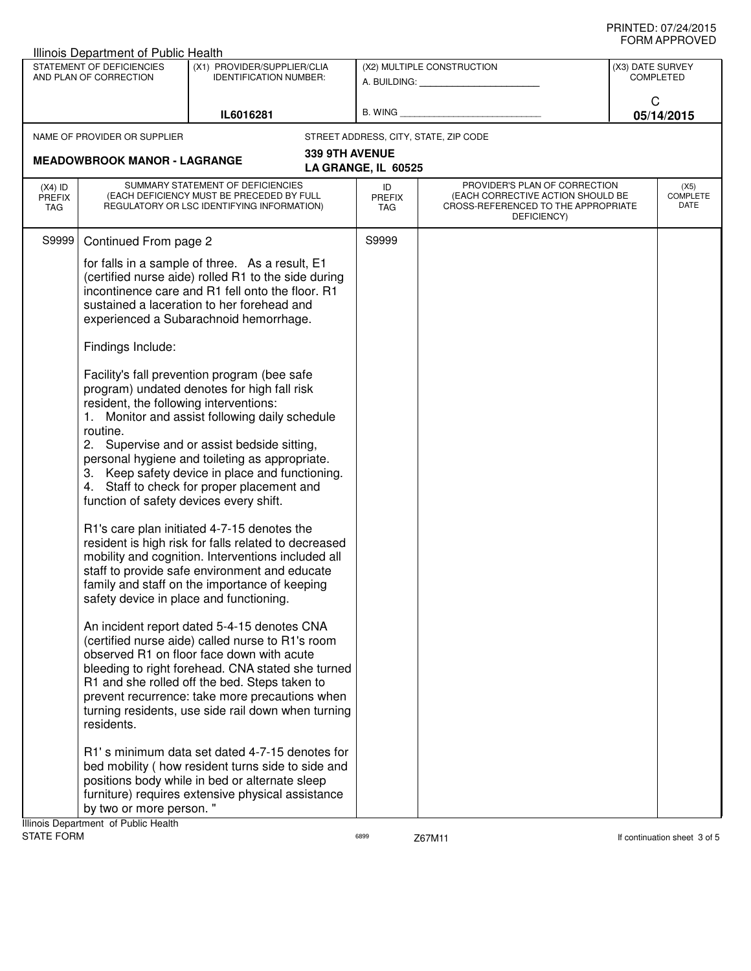|                                                     | Illinois Department of Public Health                                                                                                                                                                                                                                                                                                                                                                                                                                                                                                                                                                                                                                                                                                                                                                                                                                                                                                                                                                                                                                                                                                                                                                                                                                                                                                                                                                                                                                                                                                                                                                                                                     |                                                                                                                              |                |                            |                                                                          |                                              |                                      |                                 |
|-----------------------------------------------------|----------------------------------------------------------------------------------------------------------------------------------------------------------------------------------------------------------------------------------------------------------------------------------------------------------------------------------------------------------------------------------------------------------------------------------------------------------------------------------------------------------------------------------------------------------------------------------------------------------------------------------------------------------------------------------------------------------------------------------------------------------------------------------------------------------------------------------------------------------------------------------------------------------------------------------------------------------------------------------------------------------------------------------------------------------------------------------------------------------------------------------------------------------------------------------------------------------------------------------------------------------------------------------------------------------------------------------------------------------------------------------------------------------------------------------------------------------------------------------------------------------------------------------------------------------------------------------------------------------------------------------------------------------|------------------------------------------------------------------------------------------------------------------------------|----------------|----------------------------|--------------------------------------------------------------------------|----------------------------------------------|--------------------------------------|---------------------------------|
| STATEMENT OF DEFICIENCIES<br>AND PLAN OF CORRECTION |                                                                                                                                                                                                                                                                                                                                                                                                                                                                                                                                                                                                                                                                                                                                                                                                                                                                                                                                                                                                                                                                                                                                                                                                                                                                                                                                                                                                                                                                                                                                                                                                                                                          | (X1) PROVIDER/SUPPLIER/CLIA<br><b>IDENTIFICATION NUMBER:</b>                                                                 |                | (X2) MULTIPLE CONSTRUCTION |                                                                          |                                              | (X3) DATE SURVEY<br><b>COMPLETED</b> |                                 |
|                                                     |                                                                                                                                                                                                                                                                                                                                                                                                                                                                                                                                                                                                                                                                                                                                                                                                                                                                                                                                                                                                                                                                                                                                                                                                                                                                                                                                                                                                                                                                                                                                                                                                                                                          | IL6016281                                                                                                                    |                |                            |                                                                          |                                              | C                                    | 05/14/2015                      |
|                                                     | NAME OF PROVIDER OR SUPPLIER                                                                                                                                                                                                                                                                                                                                                                                                                                                                                                                                                                                                                                                                                                                                                                                                                                                                                                                                                                                                                                                                                                                                                                                                                                                                                                                                                                                                                                                                                                                                                                                                                             |                                                                                                                              |                |                            | STREET ADDRESS, CITY, STATE, ZIP CODE                                    |                                              |                                      |                                 |
|                                                     | <b>MEADOWBROOK MANOR - LAGRANGE</b>                                                                                                                                                                                                                                                                                                                                                                                                                                                                                                                                                                                                                                                                                                                                                                                                                                                                                                                                                                                                                                                                                                                                                                                                                                                                                                                                                                                                                                                                                                                                                                                                                      |                                                                                                                              | 339 9TH AVENUE | LA GRANGE, IL 60525        |                                                                          |                                              |                                      |                                 |
| $(X4)$ ID<br><b>PREFIX</b><br><b>TAG</b>            |                                                                                                                                                                                                                                                                                                                                                                                                                                                                                                                                                                                                                                                                                                                                                                                                                                                                                                                                                                                                                                                                                                                                                                                                                                                                                                                                                                                                                                                                                                                                                                                                                                                          | SUMMARY STATEMENT OF DEFICIENCIES<br>(EACH DEFICIENCY MUST BE PRECEDED BY FULL<br>REGULATORY OR LSC IDENTIFYING INFORMATION) |                | ID<br><b>PREFIX</b><br>TAG | (EACH CORRECTIVE ACTION SHOULD BE<br>CROSS-REFERENCED TO THE APPROPRIATE | PROVIDER'S PLAN OF CORRECTION<br>DEFICIENCY) |                                      | (X5)<br><b>COMPLETE</b><br>DATE |
| S9999                                               | Continued From page 2<br>for falls in a sample of three. As a result, E1<br>(certified nurse aide) rolled R1 to the side during<br>incontinence care and R1 fell onto the floor. R1<br>sustained a laceration to her forehead and<br>experienced a Subarachnoid hemorrhage.<br>Findings Include:<br>Facility's fall prevention program (bee safe<br>program) undated denotes for high fall risk<br>resident, the following interventions:<br>1. Monitor and assist following daily schedule<br>routine.<br>2. Supervise and or assist bedside sitting,<br>personal hygiene and toileting as appropriate.<br>3. Keep safety device in place and functioning.<br>4. Staff to check for proper placement and<br>function of safety devices every shift.<br>R1's care plan initiated 4-7-15 denotes the<br>resident is high risk for falls related to decreased<br>mobility and cognition. Interventions included all<br>staff to provide safe environment and educate<br>family and staff on the importance of keeping<br>safety device in place and functioning.<br>An incident report dated 5-4-15 denotes CNA<br>(certified nurse aide) called nurse to R1's room<br>observed R1 on floor face down with acute<br>bleeding to right forehead. CNA stated she turned<br>R1 and she rolled off the bed. Steps taken to<br>prevent recurrence: take more precautions when<br>turning residents, use side rail down when turning<br>residents.<br>R1's minimum data set dated 4-7-15 denotes for<br>bed mobility (how resident turns side to side and<br>positions body while in bed or alternate sleep<br>furniture) requires extensive physical assistance |                                                                                                                              |                | S9999                      |                                                                          |                                              |                                      |                                 |
|                                                     | by two or more person."<br>Illinois Department of Public Health                                                                                                                                                                                                                                                                                                                                                                                                                                                                                                                                                                                                                                                                                                                                                                                                                                                                                                                                                                                                                                                                                                                                                                                                                                                                                                                                                                                                                                                                                                                                                                                          |                                                                                                                              |                |                            |                                                                          |                                              |                                      |                                 |
| <b>STATE FORM</b>                                   |                                                                                                                                                                                                                                                                                                                                                                                                                                                                                                                                                                                                                                                                                                                                                                                                                                                                                                                                                                                                                                                                                                                                                                                                                                                                                                                                                                                                                                                                                                                                                                                                                                                          |                                                                                                                              |                | 6899                       | Z67M11                                                                   |                                              |                                      | If continuation sheet 3 of 5    |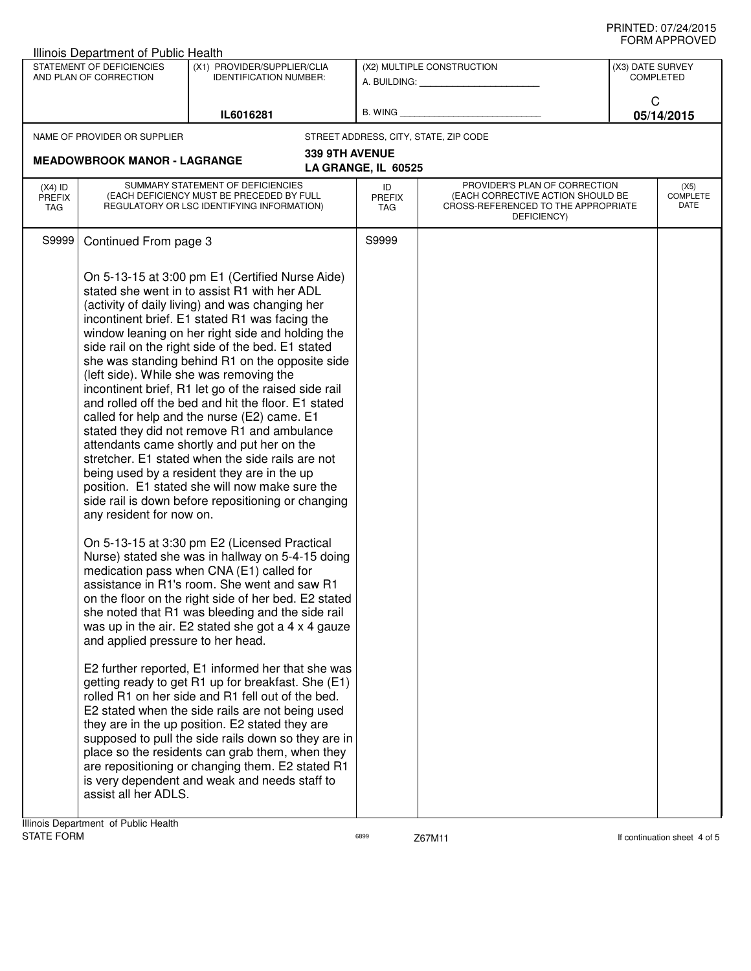| ◡੶┉灬┌┅ ・・・◡ ▾ 느◡<br>Illinois Department of Public Health                                                                         |                                                                                                                                                                                                                                                                                                                                                                                                                                                                                                                                                                                                                                                                                                                                                                                                                                                                                                                                                                                                                                                                                                                                                                                                                                                                                                                                                                                                                                                                                                                                                                                                                                                                                                                                                                                                                                                             |                |                                                         |                                                                                                                          |                          |  |  |
|----------------------------------------------------------------------------------------------------------------------------------|-------------------------------------------------------------------------------------------------------------------------------------------------------------------------------------------------------------------------------------------------------------------------------------------------------------------------------------------------------------------------------------------------------------------------------------------------------------------------------------------------------------------------------------------------------------------------------------------------------------------------------------------------------------------------------------------------------------------------------------------------------------------------------------------------------------------------------------------------------------------------------------------------------------------------------------------------------------------------------------------------------------------------------------------------------------------------------------------------------------------------------------------------------------------------------------------------------------------------------------------------------------------------------------------------------------------------------------------------------------------------------------------------------------------------------------------------------------------------------------------------------------------------------------------------------------------------------------------------------------------------------------------------------------------------------------------------------------------------------------------------------------------------------------------------------------------------------------------------------------|----------------|---------------------------------------------------------|--------------------------------------------------------------------------------------------------------------------------|--------------------------|--|--|
| STATEMENT OF DEFICIENCIES<br>(X1) PROVIDER/SUPPLIER/CLIA<br>AND PLAN OF CORRECTION<br><b>IDENTIFICATION NUMBER:</b><br>IL6016281 |                                                                                                                                                                                                                                                                                                                                                                                                                                                                                                                                                                                                                                                                                                                                                                                                                                                                                                                                                                                                                                                                                                                                                                                                                                                                                                                                                                                                                                                                                                                                                                                                                                                                                                                                                                                                                                                             |                | (X2) MULTIPLE CONSTRUCTION<br>A. BUILDING: A. BUILDING: | (X3) DATE SURVEY<br><b>COMPLETED</b><br>C<br>05/14/2015                                                                  |                          |  |  |
|                                                                                                                                  |                                                                                                                                                                                                                                                                                                                                                                                                                                                                                                                                                                                                                                                                                                                                                                                                                                                                                                                                                                                                                                                                                                                                                                                                                                                                                                                                                                                                                                                                                                                                                                                                                                                                                                                                                                                                                                                             |                | B. WING <b>Example 2008</b>                             |                                                                                                                          |                          |  |  |
|                                                                                                                                  | NAME OF PROVIDER OR SUPPLIER                                                                                                                                                                                                                                                                                                                                                                                                                                                                                                                                                                                                                                                                                                                                                                                                                                                                                                                                                                                                                                                                                                                                                                                                                                                                                                                                                                                                                                                                                                                                                                                                                                                                                                                                                                                                                                |                |                                                         | STREET ADDRESS, CITY, STATE, ZIP CODE                                                                                    |                          |  |  |
|                                                                                                                                  | <b>MEADOWBROOK MANOR - LAGRANGE</b>                                                                                                                                                                                                                                                                                                                                                                                                                                                                                                                                                                                                                                                                                                                                                                                                                                                                                                                                                                                                                                                                                                                                                                                                                                                                                                                                                                                                                                                                                                                                                                                                                                                                                                                                                                                                                         | 339 9TH AVENUE | LA GRANGE, IL 60525                                     |                                                                                                                          |                          |  |  |
| $(X4)$ ID<br><b>PREFIX</b><br>TAG                                                                                                | SUMMARY STATEMENT OF DEFICIENCIES<br>(EACH DEFICIENCY MUST BE PRECEDED BY FULL<br>REGULATORY OR LSC IDENTIFYING INFORMATION)                                                                                                                                                                                                                                                                                                                                                                                                                                                                                                                                                                                                                                                                                                                                                                                                                                                                                                                                                                                                                                                                                                                                                                                                                                                                                                                                                                                                                                                                                                                                                                                                                                                                                                                                |                | ID<br>PREFIX<br>TAG                                     | PROVIDER'S PLAN OF CORRECTION<br>(EACH CORRECTIVE ACTION SHOULD BE<br>CROSS-REFERENCED TO THE APPROPRIATE<br>DEFICIENCY) | (X5)<br>COMPLETE<br>DATE |  |  |
| S9999                                                                                                                            |                                                                                                                                                                                                                                                                                                                                                                                                                                                                                                                                                                                                                                                                                                                                                                                                                                                                                                                                                                                                                                                                                                                                                                                                                                                                                                                                                                                                                                                                                                                                                                                                                                                                                                                                                                                                                                                             |                | S9999                                                   |                                                                                                                          |                          |  |  |
|                                                                                                                                  | Continued From page 3<br>On 5-13-15 at 3:00 pm E1 (Certified Nurse Aide)<br>stated she went in to assist R1 with her ADL<br>(activity of daily living) and was changing her<br>incontinent brief. E1 stated R1 was facing the<br>window leaning on her right side and holding the<br>side rail on the right side of the bed. E1 stated<br>she was standing behind R1 on the opposite side<br>(left side). While she was removing the<br>incontinent brief, R1 let go of the raised side rail<br>and rolled off the bed and hit the floor. E1 stated<br>called for help and the nurse (E2) came. E1<br>stated they did not remove R1 and ambulance<br>attendants came shortly and put her on the<br>stretcher. E1 stated when the side rails are not<br>being used by a resident they are in the up<br>position. E1 stated she will now make sure the<br>side rail is down before repositioning or changing<br>any resident for now on.<br>On 5-13-15 at 3:30 pm E2 (Licensed Practical<br>Nurse) stated she was in hallway on 5-4-15 doing<br>medication pass when CNA (E1) called for<br>assistance in R1's room. She went and saw R1<br>on the floor on the right side of her bed. E2 stated<br>she noted that R1 was bleeding and the side rail<br>was up in the air. E2 stated she got a 4 x 4 gauze<br>and applied pressure to her head.<br>E2 further reported, E1 informed her that she was<br>getting ready to get R1 up for breakfast. She (E1)<br>rolled R1 on her side and R1 fell out of the bed.<br>E2 stated when the side rails are not being used<br>they are in the up position. E2 stated they are<br>supposed to pull the side rails down so they are in<br>place so the residents can grab them, when they<br>are repositioning or changing them. E2 stated R1<br>is very dependent and weak and needs staff to<br>assist all her ADLS. |                |                                                         |                                                                                                                          |                          |  |  |